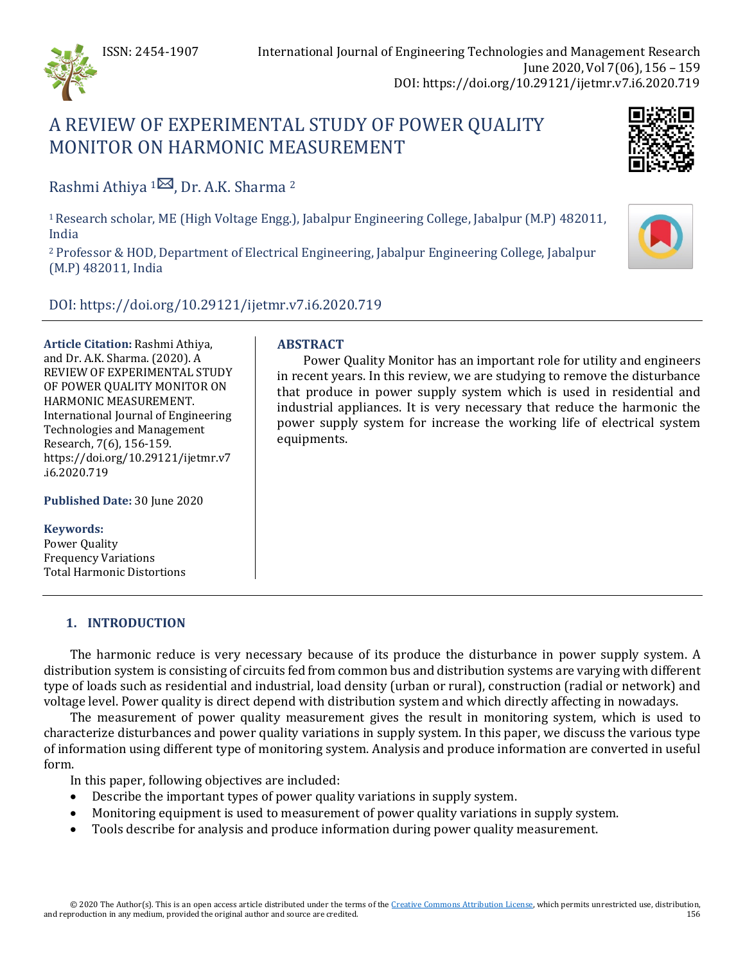

# A REVIEW OF EXPERIMENTAL STUDY OF POWER QUALITY MONITOR ON HARMONIC MEASUREMENT



Rashmi Athiya  $1^{\boxtimes}$  $1^{\boxtimes}$ , Dr. A.K. Sharma <sup>2</sup>

1 Research scholar, ME (High Voltage Engg.), Jabalpur Engineering College, Jabalpur (M.P) 482011, India

<sup>2</sup> Professor & HOD, Department of Electrical Engineering, Jabalpur Engineering College, Jabalpur (M.P) 482011, India

DOI: https://doi.org/10.29121/ijetmr.v7.i6.2020.719

**Article Citation:** Rashmi Athiya, and Dr. A.K. Sharma. (2020). A REVIEW OF EXPERIMENTAL STUDY OF POWER QUALITY MONITOR ON HARMONIC MEASUREMENT. International Journal of Engineering Technologies and Management Research, 7(6), 156-159. https://doi.org/10.29121/ijetmr.v7 .i6.2020.719

**Published Date:** 30 June 2020

**Keywords:**

Power Quality Frequency Variations Total Harmonic Distortions

# **ABSTRACT**

Power Quality Monitor has an important role for utility and engineers in recent years. In this review, we are studying to remove the disturbance that produce in power supply system which is used in residential and industrial appliances. It is very necessary that reduce the harmonic the power supply system for increase the working life of electrical system equipments.

## **1. INTRODUCTION**

The harmonic reduce is very necessary because of its produce the disturbance in power supply system. A distribution system is consisting of circuits fed from common bus and distribution systems are varying with different type of loads such as residential and industrial, load density (urban or rural), construction (radial or network) and voltage level. Power quality is direct depend with distribution system and which directly affecting in nowadays.

The measurement of power quality measurement gives the result in monitoring system, which is used to characterize disturbances and power quality variations in supply system. In this paper, we discuss the various type of information using different type of monitoring system. Analysis and produce information are converted in useful form.

In this paper, following objectives are included:

- Describe the important types of power quality variations in supply system.
- Monitoring equipment is used to measurement of power quality variations in supply system.
- Tools describe for analysis and produce information during power quality measurement.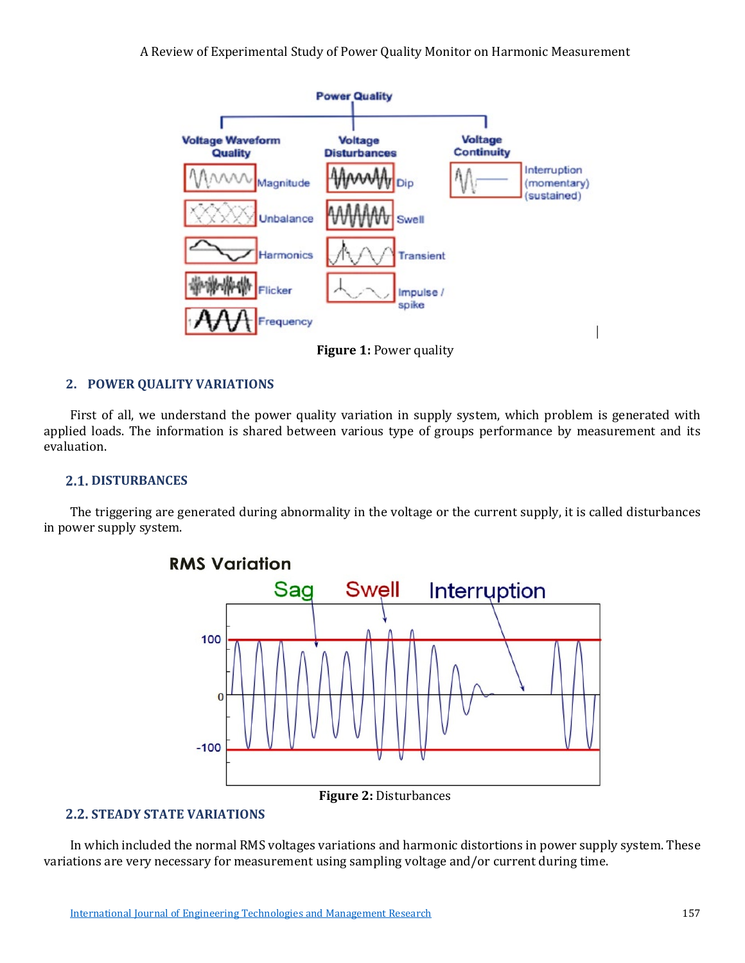A Review of Experimental Study of Power Quality Monitor on Harmonic Measurement



**Figure 1:** Power quality

## **2. POWER QUALITY VARIATIONS**

First of all, we understand the power quality variation in supply system, which problem is generated with applied loads. The information is shared between various type of groups performance by measurement and its evaluation.

#### **2.1. DISTURBANCES**

The triggering are generated during abnormality in the voltage or the current supply, it is called disturbances in power supply system.



## **Figure 2:** Disturbances

## **2.2. STEADY STATE VARIATIONS**

In which included the normal RMS voltages variations and harmonic distortions in power supply system. These variations are very necessary for measurement using sampling voltage and/or current during time.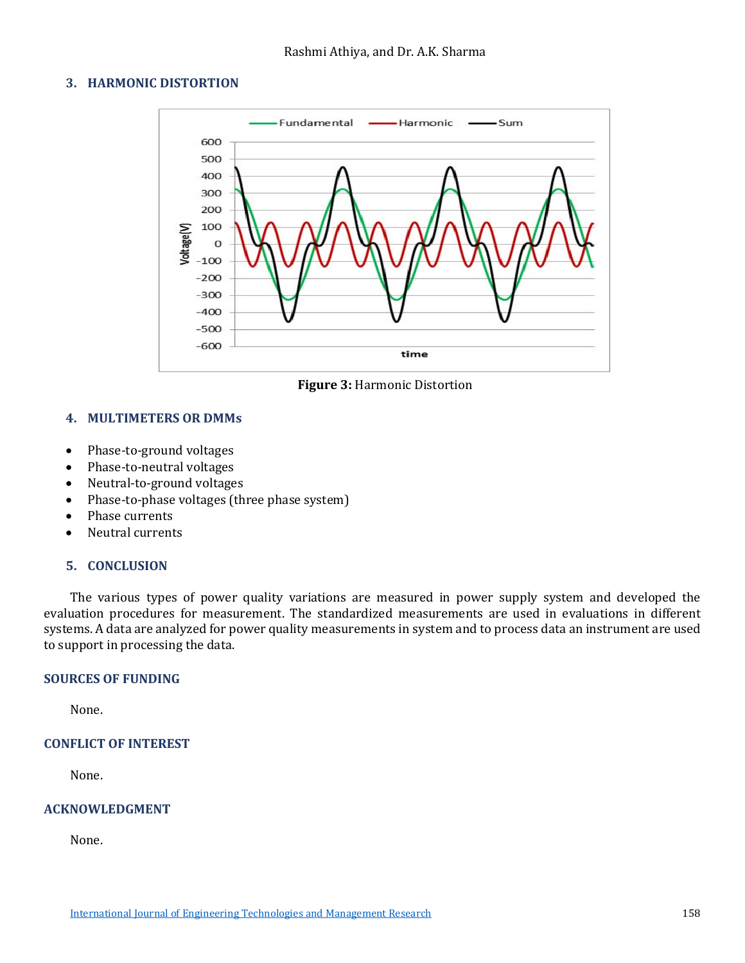## **3. HARMONIC DISTORTION**



**Figure 3:** Harmonic Distortion

## **4. MULTIMETERS OR DMMs**

- Phase-to-ground voltages
- Phase-to-neutral voltages
- Neutral-to-ground voltages
- Phase-to-phase voltages (three phase system)
- Phase currents
- Neutral currents

### **5. CONCLUSION**

The various types of power quality variations are measured in power supply system and developed the evaluation procedures for measurement. The standardized measurements are used in evaluations in different systems. A data are analyzed for power quality measurements in system and to process data an instrument are used to support in processing the data.

### **SOURCES OF FUNDING**

None.

### **CONFLICT OF INTEREST**

None.

### **ACKNOWLEDGMENT**

None.